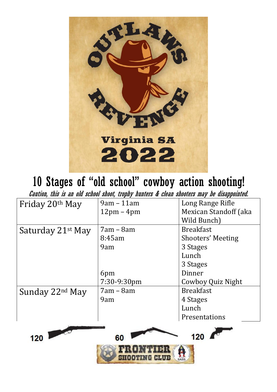

# 10 Stages of "old school" cowboy action shooting!

Caution, this is an old school shoot, trophy hunters & clean shooters may be disappointed.

| Friday 20th May                                                                                    | $9am - 11am$                 | Long Range Rifle         |  |  |  |  |  |
|----------------------------------------------------------------------------------------------------|------------------------------|--------------------------|--|--|--|--|--|
|                                                                                                    | $12 \text{pm} - 4 \text{pm}$ | Mexican Standoff (aka    |  |  |  |  |  |
|                                                                                                    |                              | Wild Bunch)              |  |  |  |  |  |
| Saturday 21 <sup>st</sup> May                                                                      | $7am - 8am$                  | <b>Breakfast</b>         |  |  |  |  |  |
|                                                                                                    | 8:45am                       | <b>Shooters' Meeting</b> |  |  |  |  |  |
|                                                                                                    | 9am                          | 3 Stages                 |  |  |  |  |  |
|                                                                                                    |                              | Lunch                    |  |  |  |  |  |
|                                                                                                    |                              | 3 Stages                 |  |  |  |  |  |
|                                                                                                    | 6pm                          | Dinner                   |  |  |  |  |  |
|                                                                                                    | 7:30-9:30pm                  | Cowboy Quiz Night        |  |  |  |  |  |
| Sunday 22nd May                                                                                    | $7am - 8am$                  | <b>Breakfast</b>         |  |  |  |  |  |
|                                                                                                    | 9am                          | 4 Stages                 |  |  |  |  |  |
|                                                                                                    |                              | Lunch                    |  |  |  |  |  |
|                                                                                                    |                              | Presentations            |  |  |  |  |  |
|                                                                                                    |                              |                          |  |  |  |  |  |
| $\begin{array}{ c c c }\n\hline\n120 & \multicolumn{1}{ c }{\quad \quad} \end{array}$<br>120<br>60 |                              |                          |  |  |  |  |  |
|                                                                                                    |                              |                          |  |  |  |  |  |